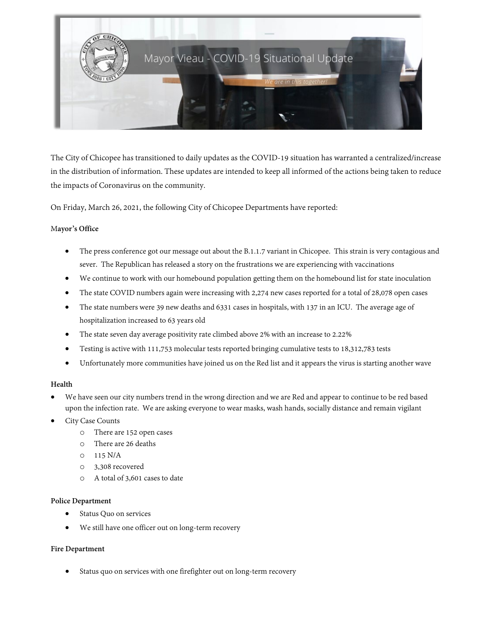

The City of Chicopee has transitioned to daily updates as the COVID-19 situation has warranted a centralized/increase in the distribution of information. These updates are intended to keep all informed of the actions being taken to reduce the impacts of Coronavirus on the community.

On Friday, March 26, 2021, the following City of Chicopee Departments have reported:

### M**ayor's Office**

- The press conference got our message out about the B.1.1.7 variant in Chicopee. This strain is very contagious and sever. The Republican has released a story on the frustrations we are experiencing with vaccinations
- We continue to work with our homebound population getting them on the homebound list for state inoculation
- The state COVID numbers again were increasing with 2,274 new cases reported for a total of 28,078 open cases
- The state numbers were 39 new deaths and 6331 cases in hospitals, with 137 in an ICU. The average age of hospitalization increased to 63 years old
- The state seven day average positivity rate climbed above 2% with an increase to 2.22%
- Testing is active with 111,753 molecular tests reported bringing cumulative tests to 18,312,783 tests
- Unfortunately more communities have joined us on the Red list and it appears the virus is starting another wave

### **Health**

- We have seen our city numbers trend in the wrong direction and we are Red and appear to continue to be red based upon the infection rate. We are asking everyone to wear masks, wash hands, socially distance and remain vigilant
- City Case Counts
	- o There are 152 open cases
	- o There are 26 deaths
	- o 115 N/A
	- o 3,308 recovered
	- o A total of 3,601 cases to date

### **Police Department**

- Status Quo on services
- We still have one officer out on long-term recovery

### **Fire Department**

Status quo on services with one firefighter out on long-term recovery